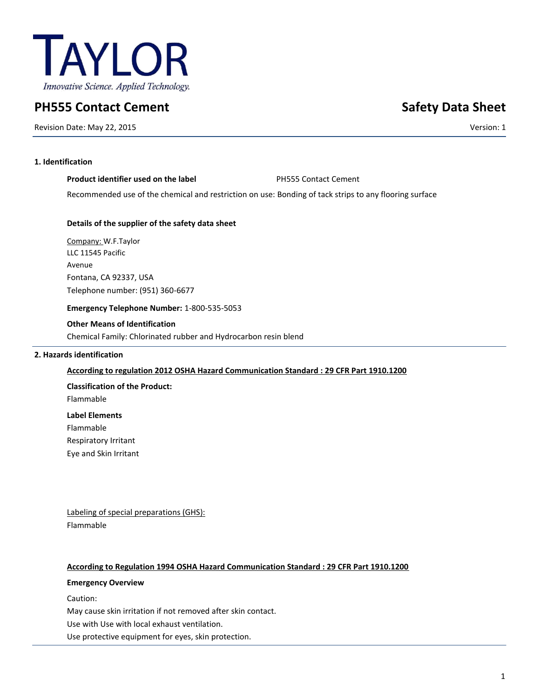

# **PH555 Contact Cement Safety Data Sheet**

Revision Date: May 22, 2015 Version: 1

# **1. Identification**

| Product identifier used on the label | <b>PH555 Contact Cement</b> |
|--------------------------------------|-----------------------------|
|                                      |                             |

Recommended use of the chemical and restriction on use: Bonding of tack strips to any flooring surface

# **Details of the supplier of the safety data sheet**

Company: W.F.Taylor LLC 11545 Pacific Avenue Fontana, CA 92337, USA Telephone number: (951) 360-6677

**Emergency Telephone Number:** 1-800-535-5053

# **Other Means of Identification**

Chemical Family: Chlorinated rubber and Hydrocarbon resin blend

# **2. Hazards identification**

# **According to regulation 2012 OSHA Hazard Communication Standard : 29 CFR Part 1910.1200**

**Classification of the Product:** Flammable **Label Elements**

Flammable

Respiratory Irritant

Eye and Skin Irritant

Labeling of special preparations (GHS): Flammable

# **According to Regulation 1994 OSHA Hazard Communication Standard : 29 CFR Part 1910.1200**

# **Emergency Overview**

Caution:

May cause skin irritation if not removed after skin contact.

Use with Use with local exhaust ventilation.

Use protective equipment for eyes, skin protection.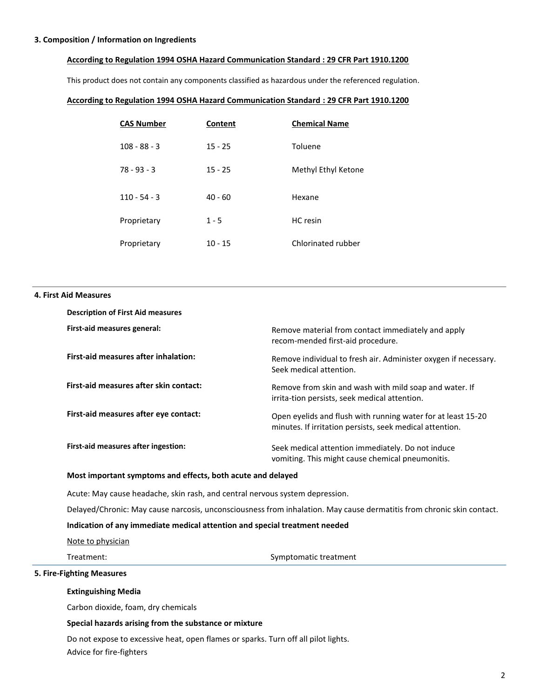#### **3. Composition / Information on Ingredients**

#### **According to Regulation 1994 OSHA Hazard Communication Standard : 29 CFR Part 1910.1200**

This product does not contain any components classified as hazardous under the referenced regulation.

#### **According to Regulation 1994 OSHA Hazard Communication Standard : 29 CFR Part 1910.1200**

| <b>CAS Number</b> | Content   | <b>Chemical Name</b> |
|-------------------|-----------|----------------------|
| $108 - 88 - 3$    | $15 - 25$ | Toluene              |
| $78 - 93 - 3$     | $15 - 25$ | Methyl Ethyl Ketone  |
| $110 - 54 - 3$    | $40 - 60$ | Hexane               |
| Proprietary       | $1 - 5$   | HC resin             |
| Proprietary       | $10 - 15$ | Chlorinated rubber   |

#### **4. First Aid Measures**

| <b>Description of First Aid measures</b>    |                                                                                                                          |
|---------------------------------------------|--------------------------------------------------------------------------------------------------------------------------|
| First-aid measures general:                 | Remove material from contact immediately and apply<br>recom-mended first-aid procedure.                                  |
| <b>First-aid measures after inhalation:</b> | Remove individual to fresh air. Administer oxygen if necessary.<br>Seek medical attention.                               |
| First-aid measures after skin contact:      | Remove from skin and wash with mild soap and water. If<br>irrita-tion persists, seek medical attention.                  |
| First-aid measures after eye contact:       | Open eyelids and flush with running water for at least 15-20<br>minutes. If irritation persists, seek medical attention. |
| First-aid measures after ingestion:         | Seek medical attention immediately. Do not induce<br>vomiting. This might cause chemical pneumonitis.                    |

### **Most important symptoms and effects, both acute and delayed**

Acute: May cause headache, skin rash, and central nervous system depression.

Delayed/Chronic: May cause narcosis, unconsciousness from inhalation. May cause dermatitis from chronic skin contact.

#### **Indication of any immediate medical attention and special treatment needed**

Note to physician

Treatment: Symptomatic treatment

### **5. Fire-Fighting Measures**

#### **Extinguishing Media**

Carbon dioxide, foam, dry chemicals

#### **Special hazards arising from the substance or mixture**

Do not expose to excessive heat, open flames or sparks. Turn off all pilot lights. Advice for fire-fighters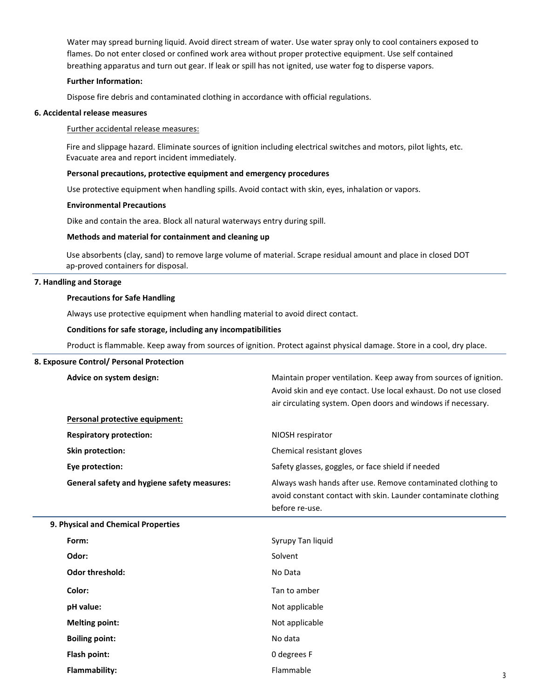Water may spread burning liquid. Avoid direct stream of water. Use water spray only to cool containers exposed to flames. Do not enter closed or confined work area without proper protective equipment. Use self contained breathing apparatus and turn out gear. If leak or spill has not ignited, use water fog to disperse vapors.

#### **Further Information:**

Dispose fire debris and contaminated clothing in accordance with official regulations.

### **6. Accidental release measures**

#### Further accidental release measures:

Fire and slippage hazard. Eliminate sources of ignition including electrical switches and motors, pilot lights, etc. Evacuate area and report incident immediately.

#### **Personal precautions, protective equipment and emergency procedures**

Use protective equipment when handling spills. Avoid contact with skin, eyes, inhalation or vapors.

#### **Environmental Precautions**

Dike and contain the area. Block all natural waterways entry during spill.

#### **Methods and material for containment and cleaning up**

Use absorbents (clay, sand) to remove large volume of material. Scrape residual amount and place in closed DOT ap-proved containers for disposal.

#### **7. Handling and Storage**

#### **Precautions for Safe Handling**

Always use protective equipment when handling material to avoid direct contact.

#### **Conditions for safe storage, including any incompatibilities**

Product is flammable. Keep away from sources of ignition. Protect against physical damage. Store in a cool, dry place.

#### **8. Exposure Control/ Personal Protection**

| Advice on system design:                           | Maintain proper ventilation. Keep away from sources of ignition.<br>Avoid skin and eye contact. Use local exhaust. Do not use closed<br>air circulating system. Open doors and windows if necessary. |   |
|----------------------------------------------------|------------------------------------------------------------------------------------------------------------------------------------------------------------------------------------------------------|---|
| Personal protective equipment:                     |                                                                                                                                                                                                      |   |
| <b>Respiratory protection:</b>                     | NIOSH respirator                                                                                                                                                                                     |   |
| Skin protection:                                   | Chemical resistant gloves                                                                                                                                                                            |   |
| Eye protection:                                    | Safety glasses, goggles, or face shield if needed                                                                                                                                                    |   |
| <b>General safety and hygiene safety measures:</b> | Always wash hands after use. Remove contaminated clothing to<br>avoid constant contact with skin. Launder contaminate clothing<br>before re-use.                                                     |   |
| 9. Physical and Chemical Properties                |                                                                                                                                                                                                      |   |
| Form:                                              | Syrupy Tan liquid                                                                                                                                                                                    |   |
| Odor:                                              | Solvent                                                                                                                                                                                              |   |
| <b>Odor threshold:</b>                             | No Data                                                                                                                                                                                              |   |
| Color:                                             | Tan to amber                                                                                                                                                                                         |   |
| pH value:                                          | Not applicable                                                                                                                                                                                       |   |
| <b>Melting point:</b>                              | Not applicable                                                                                                                                                                                       |   |
| <b>Boiling point:</b>                              | No data                                                                                                                                                                                              |   |
| Flash point:                                       | 0 degrees F                                                                                                                                                                                          |   |
| Flammability:                                      | Flammable                                                                                                                                                                                            | 3 |
|                                                    |                                                                                                                                                                                                      |   |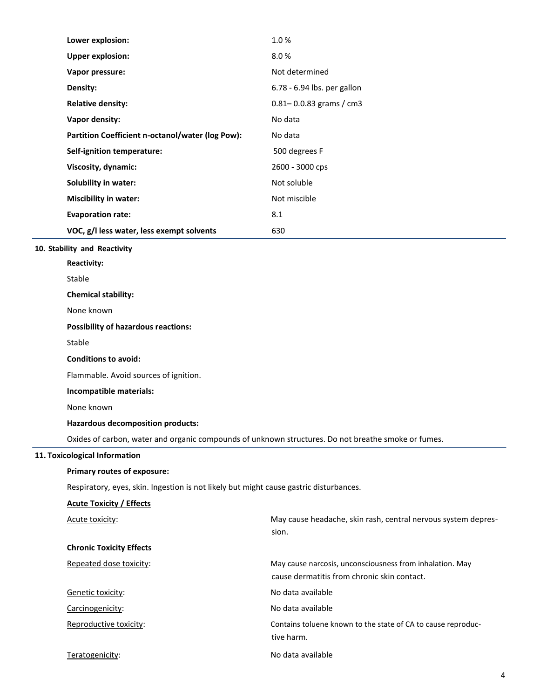| Lower explosion:                                 | 1.0%                        |
|--------------------------------------------------|-----------------------------|
| <b>Upper explosion:</b>                          | 8.0%                        |
| Vapor pressure:                                  | Not determined              |
| Density:                                         | 6.78 - 6.94 lbs. per gallon |
| <b>Relative density:</b>                         | $0.81 - 0.0.83$ grams / cm3 |
| Vapor density:                                   | No data                     |
| Partition Coefficient n-octanol/water (log Pow): | No data                     |
| Self-ignition temperature:                       | 500 degrees F               |
| Viscosity, dynamic:                              | 2600 - 3000 cps             |
| Solubility in water:                             | Not soluble                 |
| <b>Miscibility in water:</b>                     | Not miscible                |
| <b>Evaporation rate:</b>                         | 8.1                         |
| VOC, g/l less water, less exempt solvents        | 630                         |
| 10. Stability and Reactivity                     |                             |
| <b>Reactivity:</b>                               |                             |
| Stable                                           |                             |
|                                                  |                             |

**Chemical stability:** 

None known

### **Possibility of hazardous reactions:**

Stable

#### **Conditions to avoid:**

Flammable. Avoid sources of ignition.

**Incompatible materials:** 

None known

# **Hazardous decomposition products:**

Oxides of carbon, water and organic compounds of unknown structures. Do not breathe smoke or fumes.

### **11. Toxicological Information**

# **Primary routes of exposure:**

Respiratory, eyes, skin. Ingestion is not likely but might cause gastric disturbances.

| <b>Acute Toxicity / Effects</b> |                                                                                                         |
|---------------------------------|---------------------------------------------------------------------------------------------------------|
| Acute toxicity:                 | May cause headache, skin rash, central nervous system depres-                                           |
|                                 | sion.                                                                                                   |
| <b>Chronic Toxicity Effects</b> |                                                                                                         |
| Repeated dose toxicity:         | May cause narcosis, unconsciousness from inhalation. May<br>cause dermatitis from chronic skin contact. |
| Genetic toxicity:               | No data available                                                                                       |
| Carcinogenicity:                | No data available                                                                                       |
| Reproductive toxicity:          | Contains toluene known to the state of CA to cause reproduc-<br>tive harm.                              |
| Teratogenicity:                 | No data available                                                                                       |